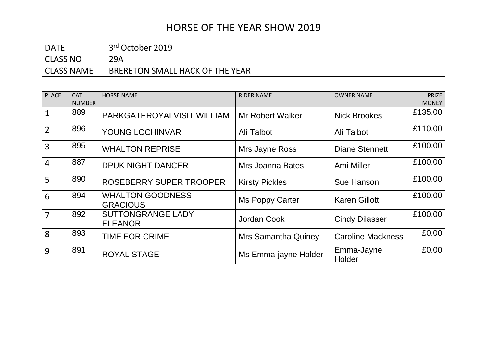## HORSE OF THE YEAR SHOW 2019

| <b>DATE</b>       | 3rd October 2019                |
|-------------------|---------------------------------|
| CLASS NO          | 29A                             |
| <b>CLASS NAME</b> | BRERETON SMALL HACK OF THE YEAR |

| <b>PLACE</b>   | <b>CAT</b>    | <b>HORSE NAME</b>                          | <b>RIDER NAME</b>          | <b>OWNER NAME</b>        | PRIZE        |
|----------------|---------------|--------------------------------------------|----------------------------|--------------------------|--------------|
|                | <b>NUMBER</b> |                                            |                            |                          | <b>MONEY</b> |
| $\mathbf{1}$   | 889           | PARKGATEROYALVISIT WILLIAM                 | <b>Mr Robert Walker</b>    | <b>Nick Brookes</b>      | £135.00      |
| $\overline{2}$ | 896           | <b>YOUNG LOCHINVAR</b>                     | Ali Talbot                 | Ali Talbot               | £110.00      |
| 3              | 895           | <b>WHALTON REPRISE</b>                     | Mrs Jayne Ross             | Diane Stennett           | £100.00      |
| $\overline{4}$ | 887           | <b>DPUK NIGHT DANCER</b>                   | Mrs Joanna Bates           | Ami Miller               | £100.00      |
| 5              | 890           | ROSEBERRY SUPER TROOPER                    | <b>Kirsty Pickles</b>      | Sue Hanson               | £100.00      |
| 6              | 894           | <b>WHALTON GOODNESS</b><br><b>GRACIOUS</b> | Ms Poppy Carter            | <b>Karen Gillott</b>     | £100.00      |
| 7              | 892           | <b>SUTTONGRANGE LADY</b><br><b>ELEANOR</b> | Jordan Cook                | <b>Cindy Dilasser</b>    | £100.00      |
| 8              | 893           | <b>TIME FOR CRIME</b>                      | <b>Mrs Samantha Quiney</b> | <b>Caroline Mackness</b> | £0.00        |
| 9              | 891           | <b>ROYAL STAGE</b>                         | Ms Emma-jayne Holder       | Emma-Jayne<br>Holder     | £0.00        |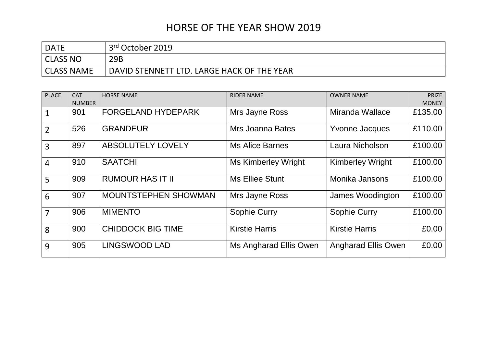## HORSE OF THE YEAR SHOW 2019

| <b>DATE</b> | 3 <sup>rd</sup> October 2019               |
|-------------|--------------------------------------------|
| CLASS NO    | 29B                                        |
| CLASS NAME  | DAVID STENNETT LTD. LARGE HACK OF THE YEAR |

| <b>PLACE</b>   | <b>CAT</b><br><b>NUMBER</b> | <b>HORSE NAME</b>           | <b>RIDER NAME</b>      | <b>OWNER NAME</b>          | <b>PRIZE</b><br><b>MONEY</b> |
|----------------|-----------------------------|-----------------------------|------------------------|----------------------------|------------------------------|
|                | 901                         | <b>FORGELAND HYDEPARK</b>   | Mrs Jayne Ross         | Miranda Wallace            | £135.00                      |
| $\overline{2}$ | 526                         | <b>GRANDEUR</b>             | Mrs Joanna Bates       | <b>Yvonne Jacques</b>      | £110.00                      |
| $\overline{3}$ | 897                         | <b>ABSOLUTELY LOVELY</b>    | <b>Ms Alice Barnes</b> | Laura Nicholson            | £100.00                      |
| $\overline{4}$ | 910                         | <b>SAATCHI</b>              | Ms Kimberley Wright    | <b>Kimberley Wright</b>    | £100.00                      |
| 5              | 909                         | <b>RUMOUR HAS IT II</b>     | <b>Ms Elliee Stunt</b> | Monika Jansons             | £100.00                      |
| 6              | 907                         | <b>MOUNTSTEPHEN SHOWMAN</b> | Mrs Jayne Ross         | James Woodington           | £100.00                      |
| $\overline{7}$ | 906                         | <b>MIMENTO</b>              | Sophie Curry           | Sophie Curry               | £100.00                      |
| 8              | 900                         | <b>CHIDDOCK BIG TIME</b>    | <b>Kirstie Harris</b>  | <b>Kirstie Harris</b>      | £0.00                        |
| 9              | 905                         | <b>LINGSWOOD LAD</b>        | Ms Angharad Ellis Owen | <b>Angharad Ellis Owen</b> | £0.00                        |